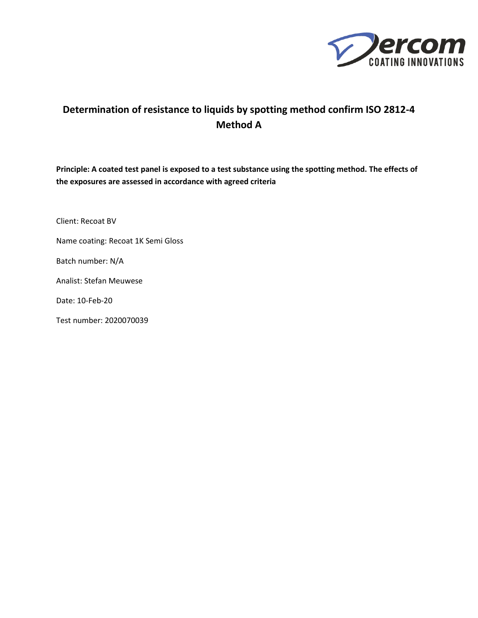

## **Determination of resistance to liquids by spotting method confirm ISO 2812-4 Method A**

**Principle: A coated test panel is exposed to a test substance using the spotting method. The effects of the exposures are assessed in accordance with agreed criteria**

Client: Recoat BV

Name coating: Recoat 1K Semi Gloss

Batch number: N/A

Analist: Stefan Meuwese

Date: 10-Feb-20

Test number: 2020070039